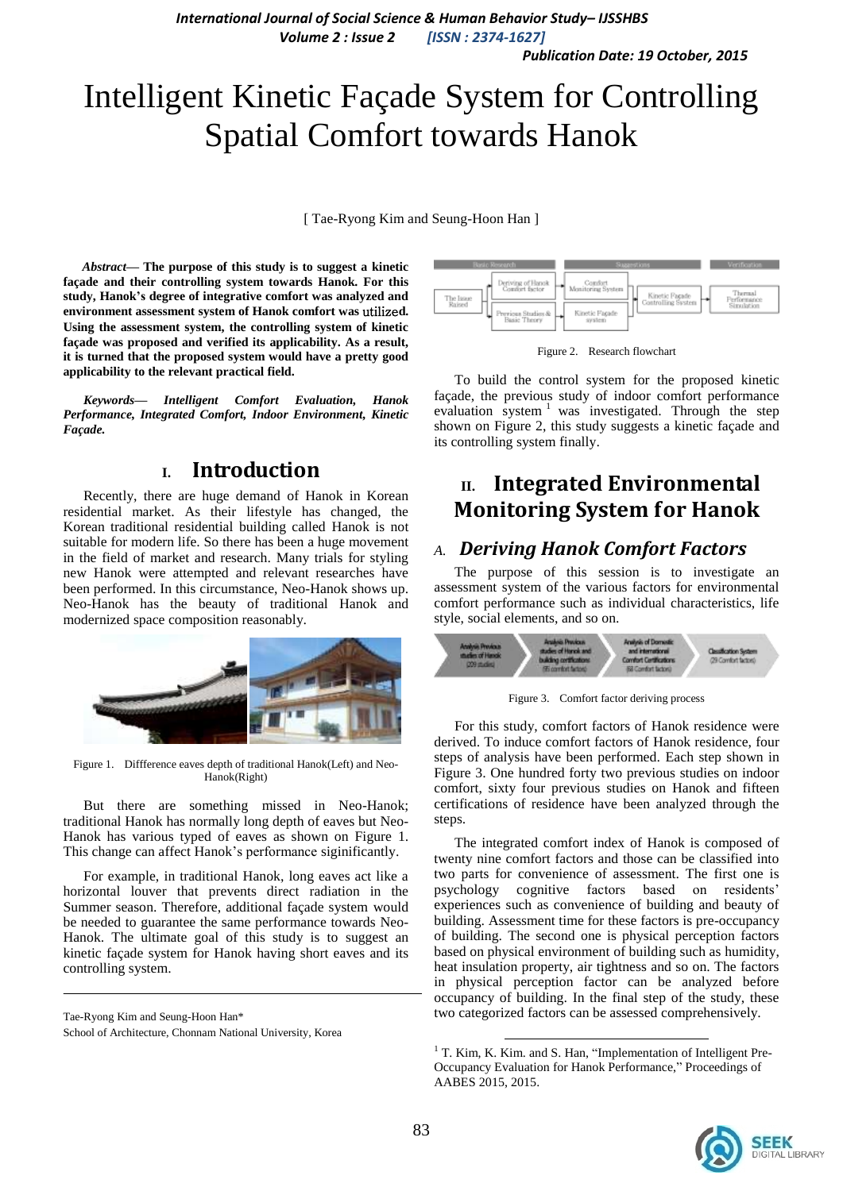*Publication Date: 19 October, 2015*

# Intelligent Kinetic Façade System for Controlling Spatial Comfort towards Hanok

[ Tae-Ryong Kim and Seung-Hoon Han ]

*Abstract***— The purpose of this study is to suggest a kinetic façade and their controlling system towards Hanok. For this study, Hanok's degree of integrative comfort was analyzed and environment assessment system of Hanok comfort was** utilize**d. Using the assessment system, the controlling system of kinetic façade was proposed and verified its applicability. As a result, it is turned that the proposed system would have a pretty good applicability to the relevant practical field.**

*Keywords— Intelligent Comfort Evaluation, Hanok Performance, Integrated Comfort, Indoor Environment, Kinetic Façade.*

## **I. Introduction**

Recently, there are huge demand of Hanok in Korean residential market. As their lifestyle has changed, the Korean traditional residential building called Hanok is not suitable for modern life. So there has been a huge movement in the field of market and research. Many trials for styling new Hanok were attempted and relevant researches have been performed. In this circumstance, Neo-Hanok shows up. Neo-Hanok has the beauty of traditional Hanok and modernized space composition reasonably.



Figure 1. Diffference eaves depth of traditional Hanok(Left) and Neo-Hanok(Right)

But there are something missed in Neo-Hanok; traditional Hanok has normally long depth of eaves but Neo-Hanok has various typed of eaves as shown on Figure 1. This change can affect Hanok's performance siginificantly.

For example, in traditional Hanok, long eaves act like a horizontal louver that prevents direct radiation in the Summer season. Therefore, additional façade system would be needed to guarantee the same performance towards Neo-Hanok. The ultimate goal of this study is to suggest an kinetic façade system for Hanok having short eaves and its controlling system.

Tae-Ryong Kim and Seung-Hoon Han\* School of Architecture, Chonnam National University, Korea



Figure 2. Research flowchart

To build the control system for the proposed kinetic façade, the previous study of indoor comfort performance evaluation system  $\frac{1}{1}$  was investigated. Through the step shown on Figure 2, this study suggests a kinetic façade and its controlling system finally.

# **II. Integrated Environmental Monitoring System for Hanok**

#### *A. Deriving Hanok Comfort Factors*

The purpose of this session is to investigate an assessment system of the various factors for environmental comfort performance such as individual characteristics, life style, social elements, and so on.



Figure 3. Comfort factor deriving process

For this study, comfort factors of Hanok residence were derived. To induce comfort factors of Hanok residence, four steps of analysis have been performed. Each step shown in Figure 3. One hundred forty two previous studies on indoor comfort, sixty four previous studies on Hanok and fifteen certifications of residence have been analyzed through the steps.

The integrated comfort index of Hanok is composed of twenty nine comfort factors and those can be classified into two parts for convenience of assessment. The first one is psychology cognitive factors based on residents' experiences such as convenience of building and beauty of building. Assessment time for these factors is pre-occupancy of building. The second one is physical perception factors based on physical environment of building such as humidity, heat insulation property, air tightness and so on. The factors in physical perception factor can be analyzed before occupancy of building. In the final step of the study, these two categorized factors can be assessed comprehensively.

1



<sup>&</sup>lt;sup>1</sup> T. Kim, K. Kim. and S. Han, "Implementation of Intelligent Pre-Occupancy Evaluation for Hanok Performance," Proceedings of AABES 2015, 2015.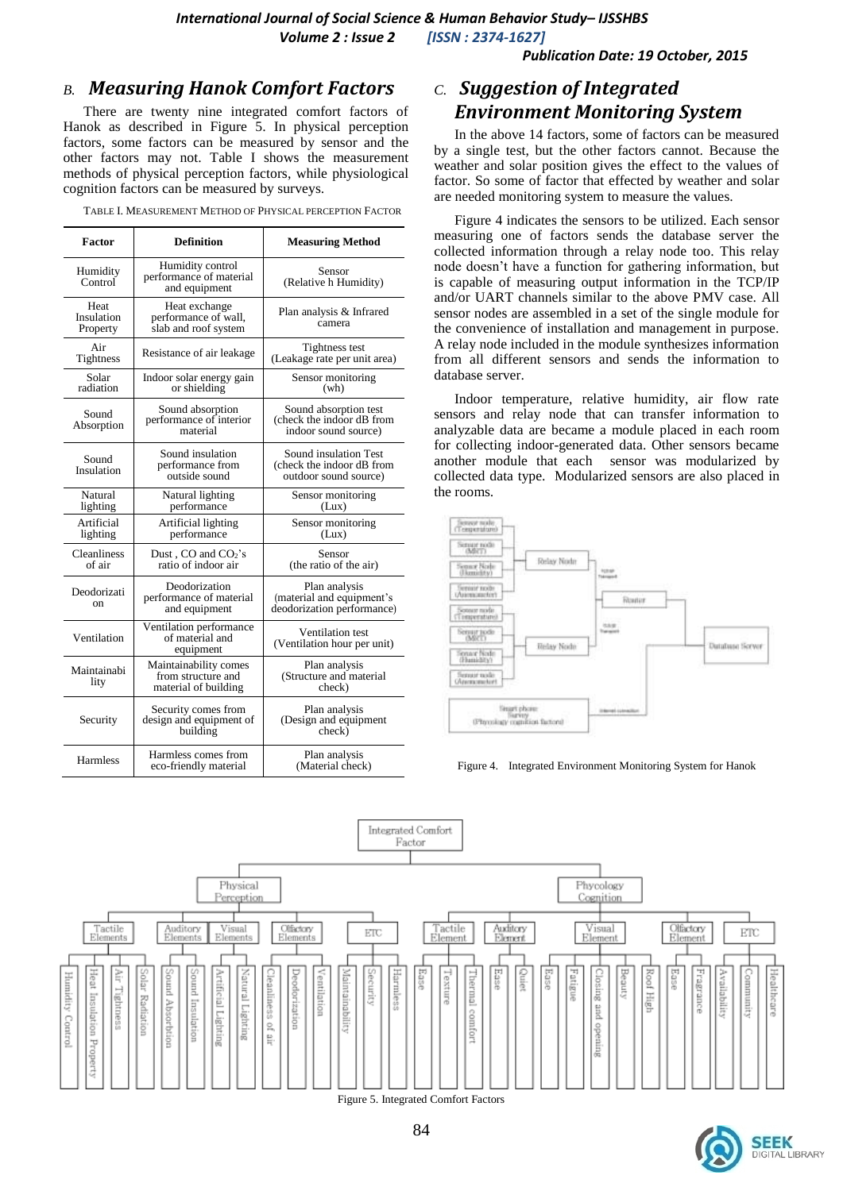*International Journal of Social Science & Human Behavior Study– IJSSHBS*

*Volume 2 : Issue 2 [ISSN : 2374-1627]*

*Publication Date: 19 October, 2015*

#### *B. Measuring Hanok Comfort Factors*

There are twenty nine integrated comfort factors of Hanok as described in Figure 5. In physical perception factors, some factors can be measured by sensor and the other factors may not. Table I shows the measurement methods of physical perception factors, while physiological cognition factors can be measured by surveys.

|  |  | TABLE I. MEASUREMENT METHOD OF PHYSICAL PERCEPTION FACTOR |
|--|--|-----------------------------------------------------------|
|  |  |                                                           |

| Factor                                                                              | <b>Definition</b>                                                   | <b>Measuring Method</b>                                                     |  |  |
|-------------------------------------------------------------------------------------|---------------------------------------------------------------------|-----------------------------------------------------------------------------|--|--|
| Humidity control<br>Humidity<br>performance of material<br>Control<br>and equipment |                                                                     | Sensor<br>(Relative h Humidity)                                             |  |  |
| Heat<br>Insulation<br>Property                                                      | Heat exchange<br>performance of wall,<br>slab and roof system       | Plan analysis & Infrared<br>camera                                          |  |  |
| Air<br>Tightness                                                                    | Resistance of air leakage                                           | Tightness test<br>(Leakage rate per unit area)                              |  |  |
| Solar<br>radiation                                                                  | Indoor solar energy gain<br>or shielding                            | Sensor monitoring<br>(wh)                                                   |  |  |
| Sound<br>Absorption                                                                 | Sound absorption<br>performance of interior<br>material             | Sound absorption test<br>(check the indoor dB from<br>indoor sound source)  |  |  |
| Sound<br>Insulation                                                                 | Sound insulation<br>performance from<br>outside sound               | Sound insulation Test<br>(check the indoor dB from<br>outdoor sound source) |  |  |
| Natural<br>lighting                                                                 | Natural lighting<br>performance                                     | Sensor monitoring<br>(Lux)                                                  |  |  |
| Artificial<br>lighting                                                              | Artificial lighting<br>performance                                  | Sensor monitoring<br>(Lux)                                                  |  |  |
| Cleanliness<br>of air                                                               | Dust, CO and CO <sub>2</sub> 's<br>ratio of indoor air              | Sensor<br>(the ratio of the air)                                            |  |  |
| Deodorizati<br>on                                                                   | Deodorization<br>performance of material<br>and equipment           | Plan analysis<br>(material and equipment's<br>deodorization performance)    |  |  |
| Ventilation                                                                         | Ventilation performance<br>of material and<br>equipment             | Ventilation test<br>(Ventilation hour per unit)                             |  |  |
| Maintainabi<br>lity                                                                 | Maintainability comes<br>from structure and<br>material of building | Plan analysis<br>(Structure and material<br>check)                          |  |  |
| Security                                                                            | Security comes from<br>design and equipment of<br>building          | Plan analysis<br>(Design and equipment<br>check)                            |  |  |
| <b>Harmless</b>                                                                     | Harmless comes from<br>eco-friendly material                        | Plan analysis<br>(Material check)                                           |  |  |

### *C. Suggestion of Integrated Environment Monitoring System*

In the above 14 factors, some of factors can be measured by a single test, but the other factors cannot. Because the weather and solar position gives the effect to the values of factor. So some of factor that effected by weather and solar are needed monitoring system to measure the values.

Figure 4 indicates the sensors to be utilized. Each sensor measuring one of factors sends the database server the collected information through a relay node too. This relay node doesn't have a function for gathering information, but is capable of measuring output information in the TCP/IP and/or UART channels similar to the above PMV case. All sensor nodes are assembled in a set of the single module for the convenience of installation and management in purpose. A relay node included in the module synthesizes information from all different sensors and sends the information to database server.

Indoor temperature, relative humidity, air flow rate sensors and relay node that can transfer information to analyzable data are became a module placed in each room for collecting indoor-generated data. Other sensors became another module that each sensor was modularized by collected data type. Modularized sensors are also placed in the rooms.







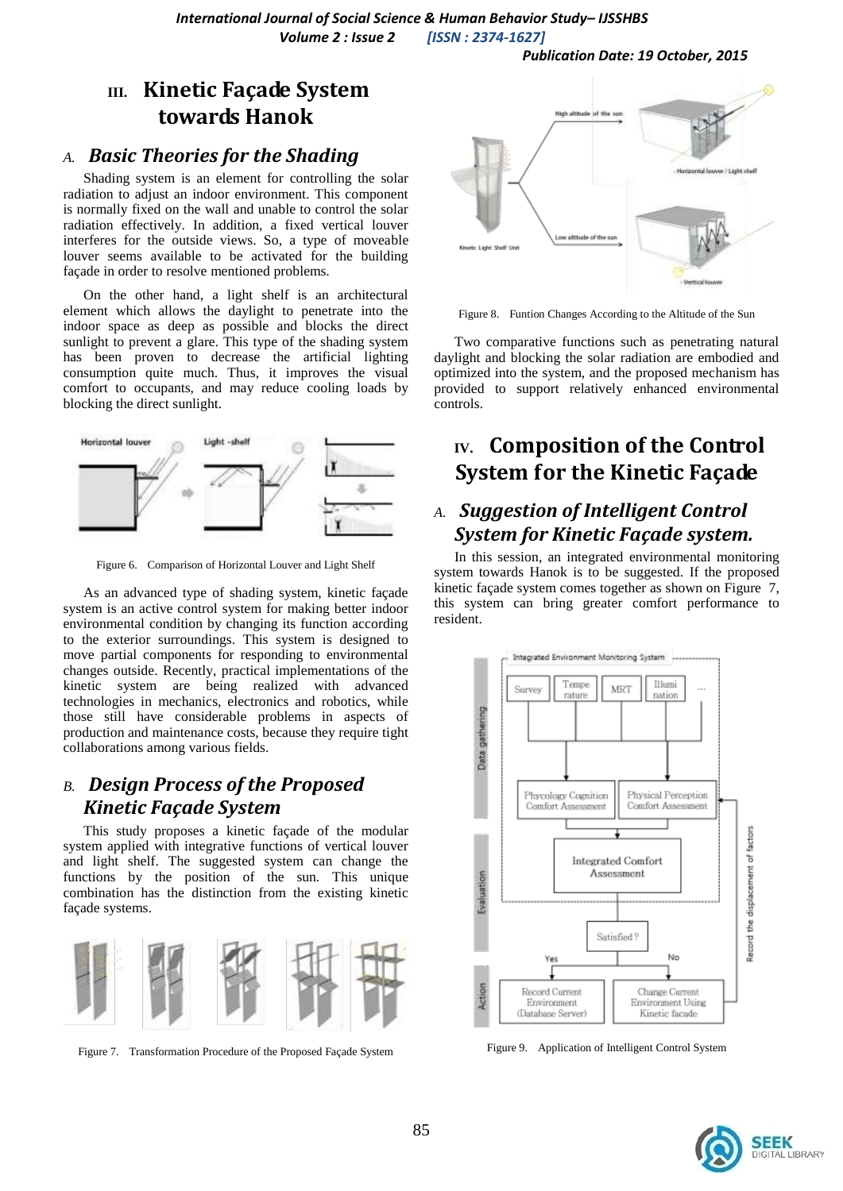*Publication Date: 19 October, 2015*

# **III. Kinetic Façade System towards Hanok**

### *A. Basic Theories for the Shading*

Shading system is an element for controlling the solar radiation to adjust an indoor environment. This component is normally fixed on the wall and unable to control the solar radiation effectively. In addition, a fixed vertical louver interferes for the outside views. So, a type of moveable louver seems available to be activated for the building façade in order to resolve mentioned problems.

On the other hand, a light shelf is an architectural element which allows the daylight to penetrate into the indoor space as deep as possible and blocks the direct sunlight to prevent a glare. This type of the shading system has been proven to decrease the artificial lighting consumption quite much. Thus, it improves the visual comfort to occupants, and may reduce cooling loads by blocking the direct sunlight.



Figure 6. Comparison of Horizontal Louver and Light Shelf

As an advanced type of shading system, kinetic façade system is an active control system for making better indoor environmental condition by changing its function according to the exterior surroundings. This system is designed to move partial components for responding to environmental changes outside. Recently, practical implementations of the kinetic system are being realized with advanced technologies in mechanics, electronics and robotics, while those still have considerable problems in aspects of production and maintenance costs, because they require tight collaborations among various fields.

# *B. Design Process of the Proposed Kinetic Façade System*

This study proposes a kinetic façade of the modular system applied with integrative functions of vertical louver and light shelf. The suggested system can change the functions by the position of the sun. This unique combination has the distinction from the existing kinetic façade systems.



Figure 7. Transformation Procedure of the Proposed Façade System



Figure 8. Funtion Changes According to the Altitude of the Sun

Two comparative functions such as penetrating natural daylight and blocking the solar radiation are embodied and optimized into the system, and the proposed mechanism has provided to support relatively enhanced environmental controls.

# **IV. Composition of the Control System for the Kinetic Façade**

# *A. Suggestion of Intelligent Control System for Kinetic Façade system.*

In this session, an integrated environmental monitoring system towards Hanok is to be suggested. If the proposed kinetic façade system comes together as shown on Figure 7, this system can bring greater comfort performance to resident.



Figure 9. Application of Intelligent Control System

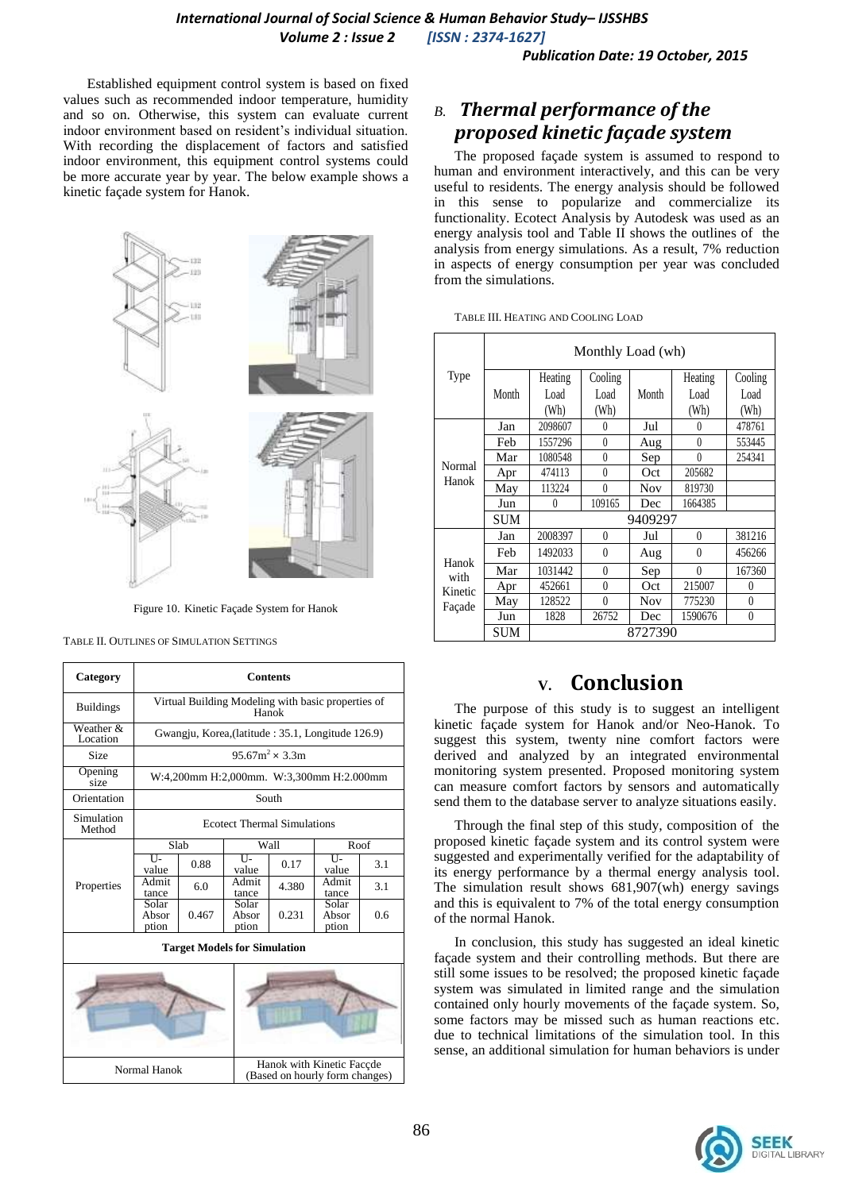*Publication Date: 19 October, 2015*

Established equipment control system is based on fixed values such as recommended indoor temperature, humidity and so on. Otherwise, this system can evaluate current indoor environment based on resident's individual situation. With recording the displacement of factors and satisfied indoor environment, this equipment control systems could be more accurate year by year. The below example shows a kinetic façade system for Hanok.



Figure 10. Kinetic Façade System for Hanok

TABLE II. OUTLINES OF SIMULATION SETTINGS

| Category                            | <b>Contents</b>                                             |                                                    |                         |                                                             |                         |      |  |
|-------------------------------------|-------------------------------------------------------------|----------------------------------------------------|-------------------------|-------------------------------------------------------------|-------------------------|------|--|
| <b>Buildings</b>                    | Virtual Building Modeling with basic properties of<br>Hanok |                                                    |                         |                                                             |                         |      |  |
| Weather &<br>Location               |                                                             | Gwangju, Korea, (latitude : 35.1, Longitude 126.9) |                         |                                                             |                         |      |  |
| <b>Size</b>                         |                                                             |                                                    |                         | $95.67m^2 \times 3.3m$                                      |                         |      |  |
| Opening<br>size                     |                                                             | W:4,200mm H:2,000mm. W:3,300mm H:2.000mm           |                         |                                                             |                         |      |  |
| Orientation                         |                                                             | South                                              |                         |                                                             |                         |      |  |
| Simulation<br>Method                | <b>Ecotect Thermal Simulations</b>                          |                                                    |                         |                                                             |                         |      |  |
|                                     | Slab                                                        |                                                    |                         | Wall                                                        |                         | Roof |  |
|                                     | $\overline{U}$<br>value                                     | 0.88                                               | $\overline{U}$<br>value | 0.17                                                        | TT-<br>value            | 3.1  |  |
| Properties                          | Admit<br>tance                                              | 6.0                                                | Admit<br>tance          | 4.380                                                       | Admit<br>tance          | 3.1  |  |
|                                     | Solar<br>Absor<br>ption                                     | 0.467                                              | Solar<br>Absor<br>ption | 0.231                                                       | Solar<br>Absor<br>ption | 0.6  |  |
| <b>Target Models for Simulation</b> |                                                             |                                                    |                         |                                                             |                         |      |  |
|                                     |                                                             |                                                    |                         |                                                             |                         |      |  |
| Normal Hanok                        |                                                             |                                                    |                         | Hanok with Kinetic Facçde<br>(Based on hourly form changes) |                         |      |  |

# *B. Thermal performance of the proposed kinetic façade system*

The proposed façade system is assumed to respond to human and environment interactively, and this can be very useful to residents. The energy analysis should be followed in this sense to popularize and commercialize its functionality. Ecotect Analysis by Autodesk was used as an energy analysis tool and Table II shows the outlines of the analysis from energy simulations. As a result, 7% reduction in aspects of energy consumption per year was concluded from the simulations.

|       | Monthly Load (wh) |                 |  |       |  |  |
|-------|-------------------|-----------------|--|-------|--|--|
| lype? |                   | Heating Cooling |  | Heati |  |  |

TABLE III. HEATING AND COOLING LOAD

| Type                               | Month      | Heating  | Cooling  | Month      | Heating  | Cooling  |  |
|------------------------------------|------------|----------|----------|------------|----------|----------|--|
|                                    |            | Load     | Load     |            | Load     | Load     |  |
|                                    |            | (Wh)     | (Wh)     |            | (Wh)     | (Wh)     |  |
|                                    | Jan        | 2098607  | $\theta$ | Jul        | $\theta$ | 478761   |  |
|                                    | Feb        | 1557296  | $\theta$ | Aug        | $\theta$ | 553445   |  |
|                                    | Mar        | 1080548  | $\theta$ | Sep        | $\theta$ | 254341   |  |
| Normal<br>Hanok                    | Apr        | 474113   | $\theta$ | Oct        | 205682   |          |  |
|                                    | May        | 113224   | $\theta$ | <b>Nov</b> | 819730   |          |  |
|                                    | Jun        | $\theta$ | 109165   | Dec        | 1664385  |          |  |
|                                    | <b>SUM</b> | 9409297  |          |            |          |          |  |
| Hanok<br>with<br>Kinetic<br>Façade | Jan        | 2008397  | $\theta$ | Jul        | $\theta$ | 381216   |  |
|                                    | Feb        | 1492033  | $\theta$ | Aug        | $\theta$ | 456266   |  |
|                                    | Mar        | 1031442  | $\theta$ | Sep        | 0        | 167360   |  |
|                                    | Apr        | 452661   | $\theta$ | Oct        | 215007   | 0        |  |
|                                    | May        | 128522   | $\theta$ | <b>Nov</b> | 775230   | $\theta$ |  |
|                                    | Jun        | 1828     | 26752    | Dec        | 1590676  | $\theta$ |  |
|                                    | <b>SUM</b> | 8727390  |          |            |          |          |  |

# **V. Conclusion**

The purpose of this study is to suggest an intelligent kinetic façade system for Hanok and/or Neo-Hanok. To suggest this system, twenty nine comfort factors were derived and analyzed by an integrated environmental monitoring system presented. Proposed monitoring system can measure comfort factors by sensors and automatically send them to the database server to analyze situations easily.

Through the final step of this study, composition of the proposed kinetic façade system and its control system were suggested and experimentally verified for the adaptability of its energy performance by a thermal energy analysis tool. The simulation result shows 681,907(wh) energy savings and this is equivalent to 7% of the total energy consumption of the normal Hanok.

In conclusion, this study has suggested an ideal kinetic façade system and their controlling methods. But there are still some issues to be resolved; the proposed kinetic façade system was simulated in limited range and the simulation contained only hourly movements of the façade system. So, some factors may be missed such as human reactions etc. due to technical limitations of the simulation tool. In this sense, an additional simulation for human behaviors is under